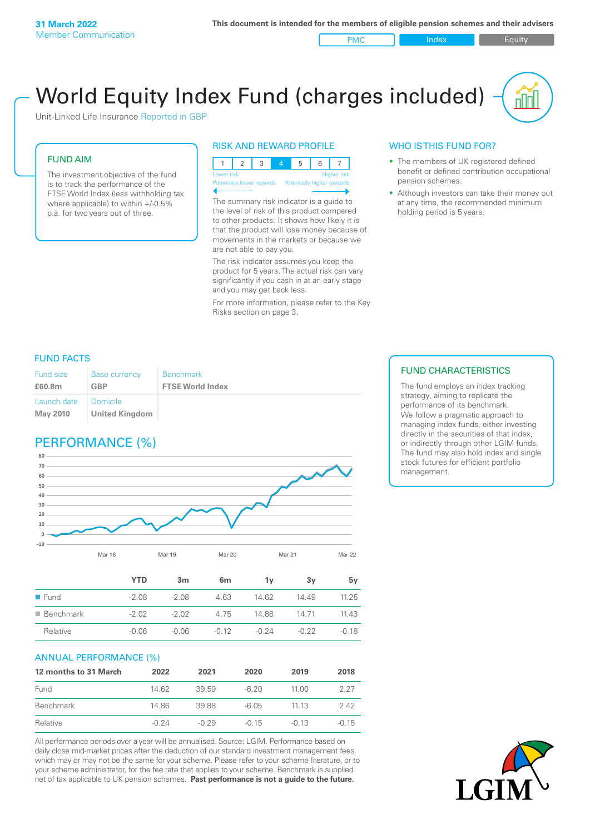PMC Index Index Equity

# World Equity Index Fund (charges included)

Unit-Linked Life Insurance Reported in GBP

#### FUND AIM

The investment objective of the fund is to track the performance of the FTSE World Index (less withholding tax where applicable) to within +/-0.5% p.a. for two years out of three.

#### RISK AND REWARD PROFILE



The summary risk indicator is a guide to the level of risk of this product compared to other products. It shows how likely it is that the product will lose money because of movements in the markets or because we are not able to pay you.

The risk indicator assumes you keep the product for 5 years. The actual risk can vary significantly if you cash in at an early stage and you may get back less.

For more information, please refer to the Key Risks section on page 3.

#### WHO IS THIS FUND FOR?

- The members of UK registered defined benefit or defined contribution occupational pension schemes.
- Although investors can take their money out at any time, the recommended minimum holding period is 5 years.

#### FUND FACTS

| Fund size                      | <b>Base currency</b>                | <b>Benchmark</b>        |
|--------------------------------|-------------------------------------|-------------------------|
| £60.8m                         | <b>GBP</b>                          | <b>FTSE World Index</b> |
| Launch date<br><b>May 2010</b> | I Domicile<br><b>United Kingdom</b> |                         |

### PERFORMANCE (%)



|                     | YTD     | 3 <sub>m</sub> | 6 <sub>m</sub> | 1۷      | 3v      | 5v      |
|---------------------|---------|----------------|----------------|---------|---------|---------|
| $\blacksquare$ Fund | $-2.08$ | $-2.08$        | 4.63           | 14.62   | 14.49   | 11.25   |
| Benchmark           | $-2.02$ | $-2.02$        | 4.75           | 14.86   | 14.71   | 11.43   |
| Relative            | $-0.06$ | $-0.06$        | $-0.12$        | $-0.24$ | $-0.22$ | $-0.18$ |

#### ANNUAL PERFORMANCE (%)

| 12 months to 31 March | 2022    | 2021    | 2020    | 2019    | 2018    |
|-----------------------|---------|---------|---------|---------|---------|
| Fund                  | 14.62   | 39.59   | $-6.20$ | 11.00   | 2 27    |
| Benchmark             | 14.86   | 39.88   | -6.05   | 11 13   | 242     |
| Relative              | $-0.24$ | $-0.29$ | $-0.15$ | $-0.13$ | $-0.15$ |

All performance periods over a year will be annualised. Source: LGIM. Performance based on daily close mid-market prices after the deduction of our standard investment management fees, which may or may not be the same for your scheme. Please refer to your scheme literature, or to your scheme administrator, for the fee rate that applies to your scheme. Benchmark is supplied net of tax applicable to UK pension schemes. **Past performance is not a guide to the future.**

#### FUND CHARACTERISTICS

The fund employs an index tracking strategy, aiming to replicate the performance of its benchmark. We follow a pragmatic approach to managing index funds, either investing directly in the securities of that index, or indirectly through other LGIM funds. The fund may also hold index and single stock futures for efficient portfolio management.

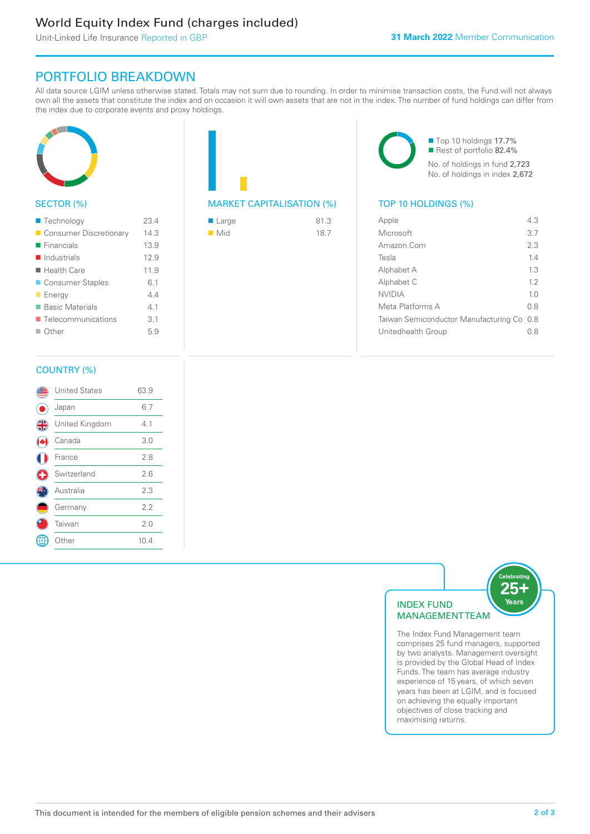### World Equity Index Fund (charges included)

Unit-Linked Life Insurance Reported in GBP

### PORTFOLIO BREAKDOWN

All data source LGIM unless otherwise stated. Totals may not sum due to rounding. In order to minimise transaction costs, the Fund will not always own all the assets that constitute the index and on occasion it will own assets that are not in the index. The number of fund holdings can differ from the index due to corporate events and proxy holdings.



### SECTOR (%)

| ■ Technology               | 23.4 |
|----------------------------|------|
| Consumer Discretionary     | 14.3 |
| $\blacksquare$ Financials  | 13.9 |
| $\blacksquare$ Industrials | 12.9 |
| ■ Health Care              | 11.9 |
| ■ Consumer Staples         | 6.1  |
| <b>Energy</b>              | 44   |
| ■ Basic Materials          | 4.1  |
| ■ Telecommunications       | 3.1  |
| $\Box$ Other               | 5.9  |
|                            |      |

## MARKET CAPITALISATION (%) TOP 10 HOLDINGS (%)

| ■ Large            | 81.3 |
|--------------------|------|
| $\blacksquare$ Mid | 18.7 |

■ Top 10 holdings 17.7% Rest of portfolio 82.4% No. of holdings in fund 2,723 No. of holdings in index 2,672

| Apple                                     | 43             |
|-------------------------------------------|----------------|
| Microsoft                                 | 3.7            |
| Amazon.Com                                | 2.3            |
| Tesla                                     | 14             |
| Alphabet A                                | 13             |
| Alphabet C                                | 12             |
| <b>NVIDIA</b>                             | 1 <sub>0</sub> |
| Meta Platforms A                          | 0 S            |
| Taiwan Semiconductor Manufacturing Co 0.8 |                |
| Unitedhealth Group                        | 08             |
|                                           |                |

#### COUNTRY (%)

|               | <b>United States</b> | 63.9 |  |
|---------------|----------------------|------|--|
|               | Japan                | 6.7  |  |
| $\frac{4}{3}$ | United Kingdom       | 4.1  |  |
|               | Canada               | 3.0  |  |
|               | France               | 2.8  |  |
| Œ             | Switzerland          | 2.6  |  |
|               | Australia            | 2.3  |  |
|               | Germany              | 2.2  |  |
|               | Taiwan               | 2.0  |  |
|               | Other                | 10.4 |  |
|               |                      |      |  |



The Index Fund Management team comprises 25 fund managers, supported by two analysts. Management oversight is provided by the Global Head of Index Funds. The team has average industry experience of 15 years, of which seven years has been at LGIM, and is focused on achieving the equally important objectives of close tracking and maximising returns.